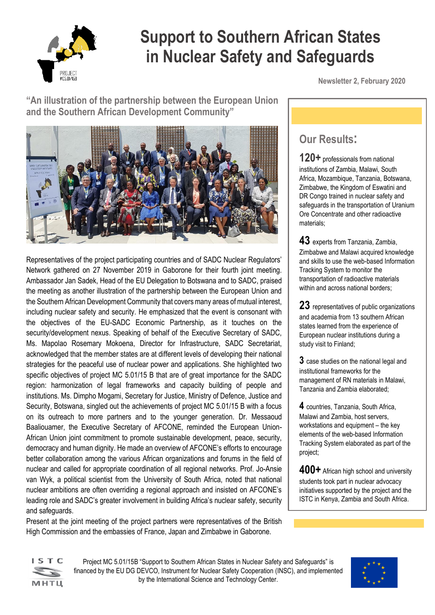

# **Support to Southern African States in Nuclear Safety and Safeguards**

**"An illustration of the partnership between the European Union and the Southern African Development Community"** 



Representatives of the project participating countries and of SADC Nuclear Regulators' Network gathered on 27 November 2019 in Gaborone for their fourth joint meeting. Ambassador Jan Sadek, Head of the EU Delegation to Botswana and to SADC, praised the meeting as another illustration of the partnership between the European Union and the Southern African Development Community that covers many areas of mutual interest, including nuclear safety and security. He emphasized that the event is consonant with the objectives of the EU-SADC Economic Partnership, as it touches on the security/development nexus. Speaking of behalf of the Executive Secretary of SADC, Ms. Mapolao Rosemary Mokoena, Director for Infrastructure, SADC Secretariat, acknowledged that the member states are at different levels of developing their national strategies for the peaceful use of nuclear power and applications. She highlighted two specific objectives of project MC 5.01/15 B that are of great importance for the SADC region: harmonization of legal frameworks and capacity building of people and institutions. Ms. Dimpho Mogami, Secretary for Justice, Ministry of Defence, Justice and Security, Botswana, singled out the achievements of project MC 5.01/15 B with a focus on its outreach to more partners and to the younger generation. Dr. Messaoud Baaliouamer, the Executive Secretary of AFCONE, reminded the European Union-African Union joint commitment to promote sustainable development, peace, security, democracy and human dignity. He made an overview of AFCONE's efforts to encourage better collaboration among the various African organizations and forums in the field of nuclear and called for appropriate coordination of all regional networks. Prof. Jo-Ansie van Wyk, a political scientist from the University of South Africa, noted that national nuclear ambitions are often overriding a regional approach and insisted on AFCONE's leading role and SADC's greater involvement in building Africa's nuclear safety, security and safeguards.

Present at the joint meeting of the project partners were representatives of the British High Commission and the embassies of France, Japan and Zimbabwe in Gaborone.

**Newsletter 2, February 2020**

## **Our Results:**

**120+** professionals from national institutions of Zambia, Malawi, South Africa, Mozambique, Tanzania, Botswana, Zimbabwe, the Kingdom of Eswatini and DR Congo trained in nuclear safety and safeguards in the transportation of Uranium Ore Concentrate and other radioactive materials;

**43** experts from Tanzania, Zambia, Zimbabwe and Malawi acquired knowledge and skills to use the web-based Information Tracking System to monitor the transportation of radioactive materials within and across national borders;

**23** representatives of public organizations and academia from 13 southern African states learned from the experience of European nuclear institutions during a study visit to Finland;

**3** case studies on the national legal and institutional frameworks for the management of RN materials in Malawi, Tanzania and Zambia elaborated;

**4** countries, Tanzania, South Africa, Malawi and Zambia, host servers, workstations and equipment – the key elements of the web-based Information Tracking System elaborated as part of the project;

**400+** African high school and university students took part in nuclear advocacy initiatives supported by the project and the ISTC in Kenya, Zambia and South Africa.



Project MC 5.01/15B "Support to Southern African States in Nuclear Safety and Safeguards" is financed by the EU DG DEVCO, Instrument for Nuclear Safety Cooperation (INSC), and implemented by the International Science and Technology Center.

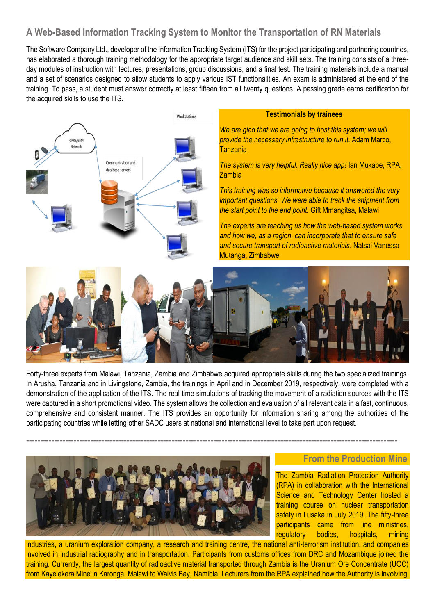## **A Web-Based Information Tracking System to Monitor the Transportation of RN Materials**

The Software Company Ltd., developer of the Information Tracking System (ITS) for the project participating and partnering countries, has elaborated a thorough training methodology for the appropriate target audience and skill sets. The training consists of a threeday modules of instruction with lectures, presentations, group discussions, and a final test. The training materials include a manual and a set of scenarios designed to allow students to apply various IST functionalities. An exam is administered at the end of the training. To pass, a student must answer correctly at least fifteen from all twenty questions. A passing grade earns certification for the acquired skills to use the ITS.



#### **Testimonials by trainees**

*We are glad that we are going to host this system; we will provide the necessary infrastructure to run it.* Adam Marco, Tanzania

*The system is very helpful. Really nice app!* Ian Mukabe, RPA, Zambia

*This training was so informative because it answered the very important questions. We were able to track the shipment from the start point to the end point.* Gift Mmangitsa, Malawi

*The experts are teaching us how the web-based system works and how we, as a region, can incorporate that to ensure safe and secure transport of radioactive materials*. Natsai Vanessa Mutanga, Zimbabwe



Forty-three experts from Malawi, Tanzania, Zambia and Zimbabwe acquired appropriate skills during the two specialized trainings. In Arusha, Tanzania and in Livingstone, Zambia, the trainings in April and in December 2019, respectively, were completed with a demonstration of the application of the ITS. The real-time simulations of tracking the movement of a radiation sources with the ITS were captured in a short promotional video. The system allows the collection and evaluation of all relevant data in a fast, continuous, comprehensive and consistent manner. The ITS provides an opportunity for information sharing among the authorities of the participating countries while letting other SADC users at national and international level to take part upon request.

**-------------------------------------------------------------------------------------------------------------------------------------**



#### **From the Production Mine**

The Zambia Radiation Protection Authority (RPA) in collaboration with the International Science and Technology Center hosted a training course on nuclear transportation safety in Lusaka in July 2019. The fifty-three participants came from line ministries, regulatory bodies, hospitals, mining

industries, a uranium exploration company, a research and training centre, the national anti-terrorism institution, and companies involved in industrial radiography and in transportation. Participants from customs offices from DRC and Mozambique joined the training. Currently, the largest quantity of radioactive material transported through Zambia is the Uranium Ore Concentrate (UOC) from Kayelekera Mine in Karonga, Malawi to Walvis Bay, Namibia. Lecturers from the RPA explained how the Authority is involving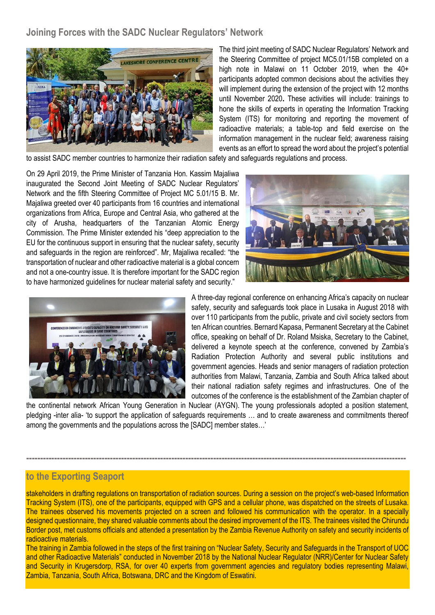**Joining Forces with the SADC Nuclear Regulators' Network**



The third joint meeting of SADC Nuclear Regulators' Network and the Steering Committee of project MC5.01/15B completed on a high note in Malawi on 11 October 2019, when the 40+ participants adopted common decisions about the activities they will implement during the extension of the project with 12 months until November 2020**.** These activities will include: trainings to hone the skills of experts in operating the Information Tracking System (ITS) for monitoring and reporting the movement of radioactive materials; a table-top and field exercise on the information management in the nuclear field; awareness raising events as an effort to spread the word about the project's potential

to assist SADC member countries to harmonize their radiation safety and safeguards regulations and process.

On 29 April 2019, the Prime Minister of Tanzania Hon. Kassim Majaliwa inaugurated the Second Joint Meeting of SADC Nuclear Regulators' Network and the fifth Steering Committee of Project MC 5.01/15 B. Mr. Majaliwa greeted over 40 participants from 16 countries and international organizations from Africa, Europe and Central Asia, who gathered at the city of Arusha, headquarters of the Tanzanian Atomic Energy Commission. The Prime Minister extended his "deep appreciation to the EU for the continuous support in ensuring that the nuclear safety, security and safeguards in the region are reinforced". Mr, Majaliwa recalled: "the transportation of nuclear and other radioactive material is a global concern and not a one-country issue. It is therefore important for the SADC region to have harmonized guidelines for nuclear material safety and security."





A three-day regional conference on enhancing Africa's capacity on nuclear safety, security and safeguards took place in Lusaka in August 2018 with over 110 participants from the public, private and civil society sectors from ten African countries. Bernard Kapasa, Permanent Secretary at the Cabinet office, speaking on behalf of Dr. Roland Msiska, Secretary to the Cabinet, delivered a keynote speech at the conference, convened by Zambia's Radiation Protection Authority and several public institutions and government agencies. Heads and senior managers of radiation protection authorities from Malawi, Tanzania, Zambia and South Africa talked about their national radiation safety regimes and infrastructures. One of the outcomes of the conference is the establishment of the Zambian chapter of

the continental network African Young Generation in Nuclear (AYGN). The young professionals adopted a position statement, pledging -inter alia- 'to support the application of safeguards requirements … and to create awareness and commitments thereof among the governments and the populations across the [SADC] member states…'

**----------------------------------------------------------------------------------------------------------------------------------------**

### **to the Exporting Seaport**

stakeholders in drafting regulations on transportation of radiation sources. During a session on the project's web-based Information Tracking System (ITS), one of the participants, equipped with GPS and a cellular phone, was dispatched on the streets of Lusaka. The trainees observed his movements projected on a screen and followed his communication with the operator. In a specially designed questionnaire, they shared valuable comments about the desired improvement of the ITS. The trainees visited the Chirundu Border post, met customs officials and attended a presentation by the Zambia Revenue Authority on safety and security incidents of radioactive materials.

The training in Zambia followed in the steps of the first training on "Nuclear Safety, Security and Safeguards in the Transport of UOC and other Radioactive Materials" conducted in November 2018 by the National Nuclear Regulator (NRR)/Center for Nuclear Safety and Security in Krugersdorp, RSA, for over 40 experts from government agencies and regulatory bodies representing Malawi, Zambia, Tanzania, South Africa, Botswana, DRC and the Kingdom of Eswatini.